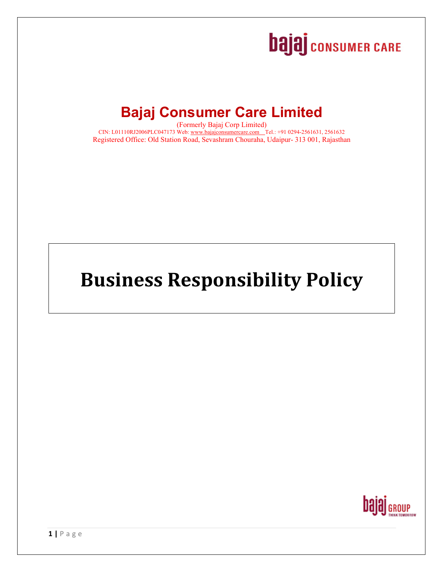# **bajaj** consumer CARE

## **Bajaj Consumer Care Limited**

(Formerly Bajaj Corp Limited) CIN: L01110RJ2006PLC047173 Web: www.bajajconsumercare.com Tel.: +91 0294-2561631, 2561632 Registered Office: Old Station Road, Sevashram Chouraha, Udaipur- 313 001, Rajasthan

# **Business Responsibility Policy**

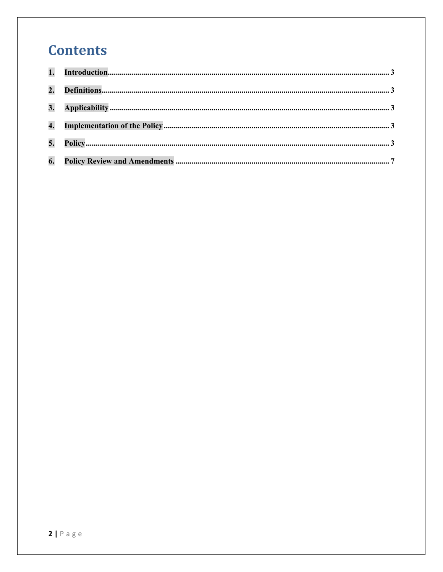## **Contents**

| 6. |  |
|----|--|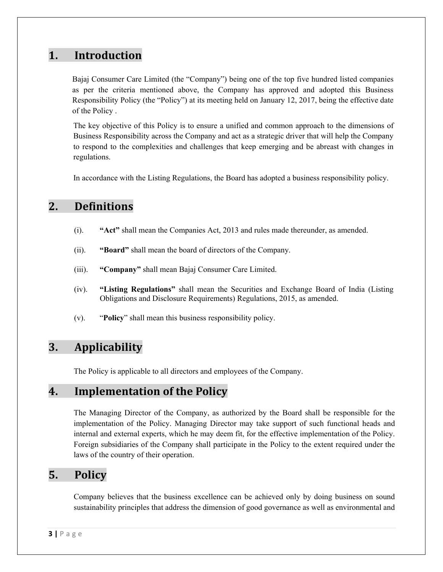## **1. Introduction**

Bajaj Consumer Care Limited (the "Company") being one of the top five hundred listed companies as per the criteria mentioned above, the Company has approved and adopted this Business Responsibility Policy (the "Policy") at its meeting held on January 12, 2017, being the effective date of the Policy .

The key objective of this Policy is to ensure a unified and common approach to the dimensions of Business Responsibility across the Company and act as a strategic driver that will help the Company to respond to the complexities and challenges that keep emerging and be abreast with changes in regulations.

In accordance with the Listing Regulations, the Board has adopted a business responsibility policy.

## **2. Definitions**

- (i). **"Act"** shall mean the Companies Act, 2013 and rules made thereunder, as amended.
- (ii). **"Board"** shall mean the board of directors of the Company.
- (iii). **"Company"** shall mean Bajaj Consumer Care Limited.
- (iv). **"Listing Regulations"** shall mean the Securities and Exchange Board of India (Listing Obligations and Disclosure Requirements) Regulations, 2015, as amended.
- (v). "**Policy**" shall mean this business responsibility policy.

## **3. Applicability**

The Policy is applicable to all directors and employees of the Company.

## **4. Implementation of the Policy**

The Managing Director of the Company, as authorized by the Board shall be responsible for the implementation of the Policy. Managing Director may take support of such functional heads and internal and external experts, which he may deem fit, for the effective implementation of the Policy. Foreign subsidiaries of the Company shall participate in the Policy to the extent required under the laws of the country of their operation.

### **5. Policy**

Company believes that the business excellence can be achieved only by doing business on sound sustainability principles that address the dimension of good governance as well as environmental and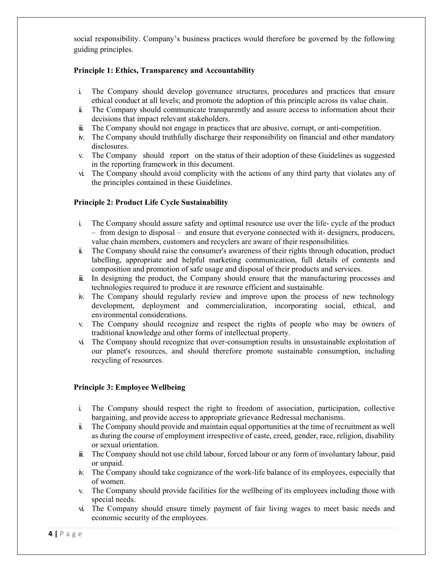social responsibility. Company's business practices would therefore be governed by the following guiding principles.

#### **Principle 1: Ethics, Transparency and Accountability**

- i. The Company should develop governance structures, procedures and practices that ensure ethical conduct at all levels; and promote the adoption of this principle across its value chain.
- ii. The Company should communicate transparently and assure access to information about their decisions that impact relevant stakeholders.
- iii. The Company should not engage in practices that are abusive, corrupt, or anti-competition.
- iv. The Company should truthfully discharge their responsibility on financial and other mandatory disclosures.
- v. The Company should report on the status of their adoption of these Guidelines as suggested in the reporting framework in this document.
- vi. The Company should avoid complicity with the actions of any third party that violates any of the principles contained in these Guidelines.

#### **Principle 2: Product Life Cycle Sustainability**

- i. The Company should assure safety and optimal resource use over the life- cycle of the product – from design to disposal – and ensure that everyone connected with it- designers, producers, value chain members, customers and recyclers are aware of their responsibilities.
- ii. The Company should raise the consumer's awareness of their rights through education, product labelling, appropriate and helpful marketing communication, full details of contents and composition and promotion of safe usage and disposal of their products and services.
- iii. In designing the product, the Company should ensure that the manufacturing processes and technologies required to produce it are resource efficient and sustainable.
- iv. The Company should regularly review and improve upon the process of new technology development, deployment and commercialization, incorporating social, ethical, and environmental considerations.
- v. The Company should recognize and respect the rights of people who may be owners of traditional knowledge and other forms of intellectual property.
- vi. The Company should recognize that over-consumption results in unsustainable exploitation of our planet's resources, and should therefore promote sustainable consumption, including recycling of resources.

#### **Principle 3: Employee Wellbeing**

- i. The Company should respect the right to freedom of association, participation, collective bargaining, and provide access to appropriate grievance Redressal mechanisms.
- ii. The Company should provide and maintain equal opportunities at the time of recruitment as well as during the course of employment irrespective of caste, creed, gender, race, religion, disability or sexual orientation.
- iii. The Company should not use child labour, forced labour or any form of involuntary labour, paid or unpaid.
- iv. The Company should take cognizance of the work-life balance of its employees, especially that of women.
- v. The Company should provide facilities for the wellbeing of its employees including those with special needs.
- vi. The Company should ensure timely payment of fair living wages to meet basic needs and economic security of the employees.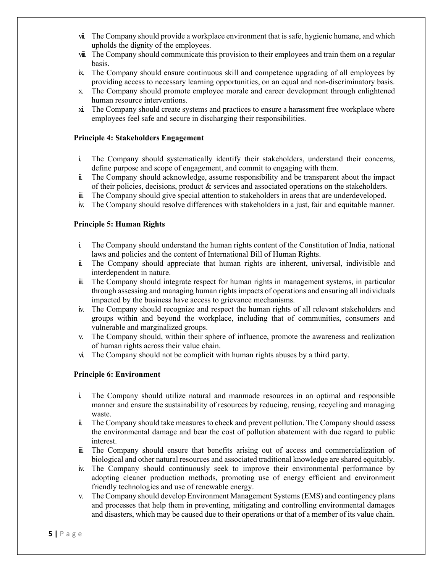- vii. The Company should provide a workplace environment that is safe, hygienic humane, and which upholds the dignity of the employees.
- viii. The Company should communicate this provision to their employees and train them on a regular basis.
- ix. The Company should ensure continuous skill and competence upgrading of all employees by providing access to necessary learning opportunities, on an equal and non-discriminatory basis.
- x. The Company should promote employee morale and career development through enlightened human resource interventions.
- xi. The Company should create systems and practices to ensure a harassment free workplace where employees feel safe and secure in discharging their responsibilities.

#### **Principle 4: Stakeholders Engagement**

- i. The Company should systematically identify their stakeholders, understand their concerns, define purpose and scope of engagement, and commit to engaging with them.
- ii. The Company should acknowledge, assume responsibility and be transparent about the impact of their policies, decisions, product  $\&$  services and associated operations on the stakeholders.
- iii. The Company should give special attention to stakeholders in areas that are underdeveloped.
- iv. The Company should resolve differences with stakeholders in a just, fair and equitable manner.

#### **Principle 5: Human Rights**

- i. The Company should understand the human rights content of the Constitution of India, national laws and policies and the content of International Bill of Human Rights.
- ii. The Company should appreciate that human rights are inherent, universal, indivisible and interdependent in nature.
- iii. The Company should integrate respect for human rights in management systems, in particular through assessing and managing human rights impacts of operations and ensuring all individuals impacted by the business have access to grievance mechanisms.
- iv. The Company should recognize and respect the human rights of all relevant stakeholders and groups within and beyond the workplace, including that of communities, consumers and vulnerable and marginalized groups.
- v. The Company should, within their sphere of influence, promote the awareness and realization of human rights across their value chain.
- vi. The Company should not be complicit with human rights abuses by a third party.

#### **Principle 6: Environment**

- i. The Company should utilize natural and manmade resources in an optimal and responsible manner and ensure the sustainability of resources by reducing, reusing, recycling and managing waste.
- ii. The Company should take measures to check and prevent pollution. The Company should assess the environmental damage and bear the cost of pollution abatement with due regard to public interest.
- iii. The Company should ensure that benefits arising out of access and commercialization of biological and other natural resources and associated traditional knowledge are shared equitably.
- iv. The Company should continuously seek to improve their environmental performance by adopting cleaner production methods, promoting use of energy efficient and environment friendly technologies and use of renewable energy.
- v. The Company should develop Environment Management Systems (EMS) and contingency plans and processes that help them in preventing, mitigating and controlling environmental damages and disasters, which may be caused due to their operations or that of a member of its value chain.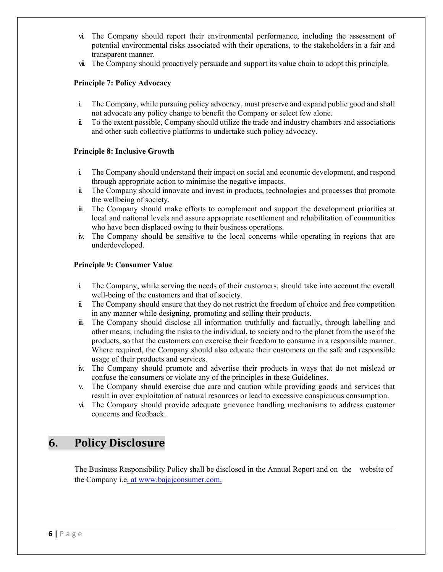- vi. The Company should report their environmental performance, including the assessment of potential environmental risks associated with their operations, to the stakeholders in a fair and transparent manner.
- vii. The Company should proactively persuade and support its value chain to adopt this principle.

#### **Principle 7: Policy Advocacy**

- i. The Company, while pursuing policy advocacy, must preserve and expand public good and shall not advocate any policy change to benefit the Company or select few alone.
- ii. To the extent possible, Company should utilize the trade and industry chambers and associations and other such collective platforms to undertake such policy advocacy.

#### **Principle 8: Inclusive Growth**

- i. The Company should understand their impact on social and economic development, and respond through appropriate action to minimise the negative impacts.
- ii. The Company should innovate and invest in products, technologies and processes that promote the wellbeing of society.
- iii. The Company should make efforts to complement and support the development priorities at local and national levels and assure appropriate resettlement and rehabilitation of communities who have been displaced owing to their business operations.
- iv. The Company should be sensitive to the local concerns while operating in regions that are underdeveloped.

#### **Principle 9: Consumer Value**

- i. The Company, while serving the needs of their customers, should take into account the overall well-being of the customers and that of society.
- ii. The Company should ensure that they do not restrict the freedom of choice and free competition in any manner while designing, promoting and selling their products.
- iii. The Company should disclose all information truthfully and factually, through labelling and other means, including the risks to the individual, to society and to the planet from the use of the products, so that the customers can exercise their freedom to consume in a responsible manner. Where required, the Company should also educate their customers on the safe and responsible usage of their products and services.
- iv. The Company should promote and advertise their products in ways that do not mislead or confuse the consumers or violate any of the principles in these Guidelines.
- v. The Company should exercise due care and caution while providing goods and services that result in over exploitation of natural resources or lead to excessive conspicuous consumption.
- vi. The Company should provide adequate grievance handling mechanisms to address customer concerns and feedback.

### **6. Policy Disclosure**

The Business Responsibility Policy shall be disclosed in the Annual Report and on the website of the Company i.e. at www.bajajconsumer.com.